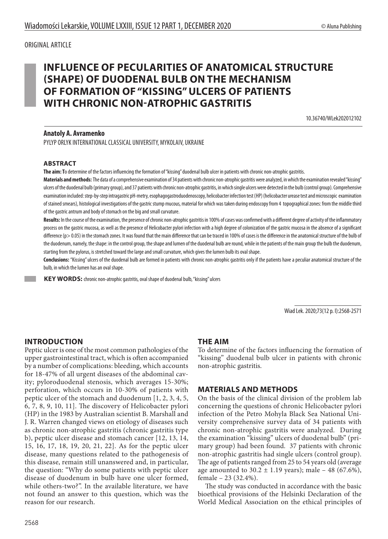#### ORIGINAL ARTICLE

# **INFLUENCE OF PECULARITIES OF ANATOMICAL STRUCTURE (SHAPE) OF DUODENAL BULB ON THE MECHANISM OF FORMATION OF "KISSING" ULCERS OF PATIENTS WITH CHRONIC NON-ATROPHIC GASTRITIS**

10.36740/WLek202012102

#### **Anatoly A. Avramenko**

PYLYP ORLYK INTERNATIONAL CLASSICAL UNIVERSITY, MYKOLAIV, UKRAINE

#### **ABSTRACT**

**The aim: T**o determine of the factors influencing the formation of "kissing" duodenal bulb ulcer in patients with chronic non-atrophic gastritis.

**Materials and methods:**The data of a comprehensive examination of 34 patients with chronic non-atrophic gastritis were analyzed, in which the examination revealed "kissing" ulcers of the duodenal bulb (primary group), and 37 patients with chronic non-atrophic gastritis, in which single ulcers were detected in the bulb (control group). Comprehensive examination included: step-by-step intragastric pH-metry, esophagogastroduodenoscopy, helicobacter infection test (HP) (helicobacter urease test and microscopic examination of stained smears), histological investigations of the gastric stump mucous, material for which was taken during endoscopy from 4 topographical zones: from the middle third of the gastric antrum and body of stomach on the big and small curvature.

**Results:** In the course of the examination, the presence of chronic non-atrophic gastritis in 100% of cases was confirmed with a different degree of activity of the inflammatory process on the gastric mucosa, as well as the presence of Helicobacter pylori infection with a high degree of colonization of the gastric mucosa in the absence of a significant difference (p> 0.05) in the stomach zones. It was found that the main difference that can be traced in 100% of cases is the difference in the anatomical structure of the bulb of the duodenum, namely, the shape: in the control group, the shape and lumen of the duodenal bulb are round, while in the patients of the main group the bulb the duodenum, starting from the pylorus, is stretched toward the large and small curvature, which gives the lumen bulb its oval shape.

**Conclusions:** "Kissing" ulcers of the duodenal bulb are formed in patients with chronic non-atrophic gastritis only if the patients have a peculiar anatomical structure of the bulb, in which the lumen has an oval shape.

 **KEY WORDS:** chronic non-atrophic gastritis, oval shape of duodenal bulb, "kissing" ulcers

Wiad Lek. 2020;73(12 p. I):2568-2571

# **INTRODUCTION**

Peptic ulcer is one of the most common pathologies of the upper gastrointestinal tract, which is often accompanied by a number of complications: bleeding, which accounts for 18-47% of all urgent diseases of the abdominal cavity; pyloroduodenal stenosis, which averages 15-30%; perforation, which occurs in 10-30% of patients with peptic ulcer of the stomach and duodenum [1, 2, 3, 4, 5, 6, 7, 8, 9, 10, 11]. The discovery of Helicobacter pylori (HP) in the 1983 by Australian scientist B. Marshall and J. R. Warren changed views on etiology of diseases such as chronic non-atrophic gastritis (chronic gastritis type b), peptic ulcer disease and stomach cancer [12, 13, 14, 15, 16, 17, 18, 19, 20, 21, 22]. As for the peptic ulcer disease, many questions related to the pathogenesis of this disease, remain still unanswered and, in particular, the question: "Why do some patients with peptic ulcer disease of duodenum in bulb have one ulcer formed, while others-two?". In the available literature, we have not found an answer to this question, which was the reason for our research.

# **THE AIM**

To determine of the factors influencing the formation of "kissing" duodenal bulb ulcer in patients with chronic non-atrophic gastritis.

### **MATERIALS AND METHODS**

On the basis of the clinical division of the problem lab concerning the questions of chronic Helicobacter pylori infection of the Petro Mohyla Black Sea National University comprehensive survey data of 34 patients with chronic non-atrophic gastritis were analyzed. During the examination "kissing" ulcers of duodenal bulb" (primary group) had been found. 37 patients with chronic non-atrophic gastritis had single ulcers (control group). The age of patients ranged from 25 to 54 years old (average age amounted to  $30.2 \pm 1.19$  years); male – 48 (67.6%), female – 23 (32.4%).

 The study was conducted in accordance with the basic bioethical provisions of the Helsinki Declaration of the World Medical Association on the ethical principles of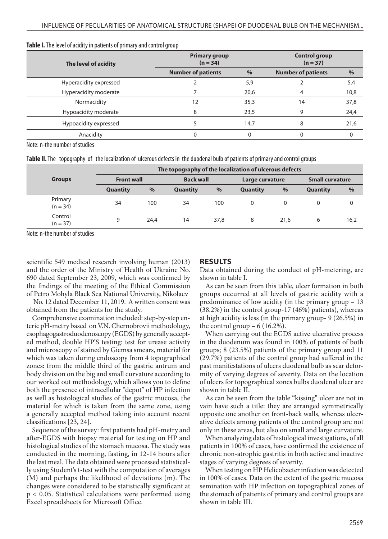| The level of acidity   | <b>Primary group</b><br>$(n = 34)$ | <b>Control group</b><br>$(n = 37)$ |                           |      |
|------------------------|------------------------------------|------------------------------------|---------------------------|------|
|                        | <b>Number of patients</b>          | $\%$                               | <b>Number of patients</b> | $\%$ |
| Hyperacidity expressed |                                    | 5,9                                |                           | 5,4  |
| Hyperacidity moderate  |                                    | 20,6                               |                           | 10,8 |
| Normacidity            | 12                                 | 35,3                               | 14                        | 37,8 |
| Hypoacidity moderate   | 8                                  | 23,5                               | 9                         | 24,4 |
| Hypoacidity expressed  |                                    | 14,7                               | 8                         | 21,6 |
| Anacidity              |                                    |                                    |                           |      |

#### **Table I.** The level of acidity in patients of primary and control group

Note: n-the number of studies

T**able II.** The topography of the localization of ulcerous defects in the duodenal bulb of patients of primary and control groups

|                       | The topography of the localization of ulcerous defects |      |                  |      |                 |               |                        |          |
|-----------------------|--------------------------------------------------------|------|------------------|------|-----------------|---------------|------------------------|----------|
| <b>Groups</b>         | <b>Front wall</b>                                      |      | <b>Back wall</b> |      | Large curvature |               | <b>Small curvature</b> |          |
|                       | <b>Quantity</b>                                        | $\%$ | <b>Quantity</b>  | $\%$ | <b>Quantity</b> | $\frac{9}{6}$ | <b>Quantity</b>        | %        |
| Primary<br>$(n = 34)$ | 34                                                     | 100  | 34               | 100  | $\Omega$        | 0             |                        | $\Omega$ |
| Control<br>$(n = 37)$ | 9                                                      | 24,4 | 14               | 37.8 | 8               | 21,6          | 6                      | 16,2     |

Note: n-the number of studies

scientific 549 medical research involving human (2013) and the order of the Ministry of Health of Ukraine No. 690 dated September 23, 2009, which was confirmed by the findings of the meeting of the Ethical Commission of Petro Mohyla Black Sea National University, Nikolaev

 No. 12 dated December 11, 2019. A written consent was obtained from the patients for the study.

Comprehensive examination included: step-by-step enteric pH-metry based on V.N. Chernobrovii methodology, esophagogastroduodenoscopy (EGDS) by generally accepted method, double HP'S testing: test for urease activity and microscopy of stained by Giemsa smears, material for which was taken during endoscopy from 4 topographical zones: from the middle third of the gastric antrum and body division on the big and small curvature according to our worked out methodology, which allows you to define both the presence of intracellular "depot" of HP infection as well as histological studies of the gastric mucosa, the material for which is taken from the same zone, using a generally accepted method taking into account recent classifications [23, 24].

Sequence of the survey: first patients had pH-metry and after-EGDS with biopsy material for testing on HP and histological studies of the stomach mucosa. The study was conducted in the morning, fasting, in 12-14 hours after the last meal. The data obtained were processed statistically using Student's t-test with the computation of averages (M) and perhaps the likelihood of deviations (m). The changes were considered to be statistically significant at p < 0.05. Statistical calculations were performed using Excel spreadsheets for Microsoft Office.

### **RESULTS**

Data obtained during the conduct of pH-metering, are shown in table I.

As can be seen from this table, ulcer formation in both groups occurred at all levels of gastric acidity with a predominance of low acidity (in the primary group – 13 (38.2%) in the control group-17 (46%) patients), whereas at high acidity is less (in the primary group- 9 (26.5%) in the control group  $-6$  (16.2%).

When carrying out the EGDS active ulcerative process in the duodenum was found in 100% of patients of both groups; 8 (23.5%) patients of the primary group and 11 (29.7%) patients of the control group had suffered in the past manifestations of ulcers duodenal bulb as scar deformity of varying degrees of severity. Data on the location of ulcers for topographical zones bulbs duodenal ulcer are shown in table II.

As can be seen from the table "kissing" ulcer are not in vain have such a title: they are arranged symmetrically opposite one another on front-back walls, whereas ulcerative defects among patients of the control group are not only in these areas, but also on small and large curvature.

When analyzing data of histological investigations, of all patients in 100% of cases, have confirmed the existence of chronic non-atrophic gastritis in both active and inactive stages of varying degrees of severity.

When testing on HP Helicobacter infection was detected in 100% of cases. Data on the extent of the gastric mucosa semination with HP infection on topographical zones of the stomach of patients of primary and control groups are shown in table III.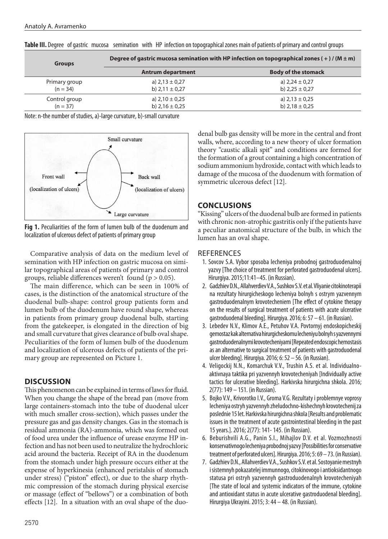| <b>Groups</b> | Degree of gastric mucosa semination with HP infection on topographical zones (+)/( $M \pm m$ ) |                            |  |  |  |
|---------------|------------------------------------------------------------------------------------------------|----------------------------|--|--|--|
|               | <b>Antrum department</b>                                                                       | <b>Body of the stomack</b> |  |  |  |
| Primary group | a) $2,13 \pm 0,27$                                                                             | a) $2,24 \pm 0,27$         |  |  |  |
| $(n = 34)$    | b) $2,11 \pm 0,27$                                                                             | b) $2,25 \pm 0,27$         |  |  |  |
| Control group | a) $2,10 \pm 0.25$                                                                             | a) $2.13 \pm 0.25$         |  |  |  |
| $(n = 37)$    | b) $2,16 \pm 0.25$                                                                             | b) $2,18 \pm 0,25$         |  |  |  |

**Table III.** Degree of gastric mucosa semination with HP infection on topographical zones main of patients of primary and control groups

Note: n-the number of studies, a)-large curvature, b)-small curvature



**Fig 1.** Peculiarities of the form of lumen bulb of the duodenum and localization of ulcerous defect of patients of primary group

Comparative analysis of data on the medium level of semination with HP infection on gastric mucosa on similar topographical areas of patients of primary and control groups, reliable differences weren't found ( $p > 0.05$ ).

The main difference, which can be seen in 100% of cases, is the distinction of the anatomical structure of the duodenal bulb-shape: control group patients form and lumen bulb of the duodenum have round shape, whereas in patients from primary group duodenal bulb, starting from the gatekeeper, is elongated in the direction of big and small curvature that gives clearance of bulb oval shape. Peculiarities of the form of lumen bulb of the duodenum and localization of ulcerous defects of patients of the primary group are represented on Picture 1.

# **DISCUSSION**

This phenomenon can be explained in terms of laws for fluid. When you change the shape of the bread pan (move from large containers-stomach into the tube of duodenal ulcer with much smaller cross-section), which passes under the pressure gas and gas density changes. Gas in the stomach is residual ammonia (RA)-ammonia, which was formed out of food urea under the influence of urease enzyme HP infection and has not been used to neutralize the hydrochloric acid around the bacteria. Receipt of RA in the duodenum from the stomach under high pressure occurs either at the expense of hyperkinesia (enhanced peristalsis of stomach under stress) ("piston" effect), or due to the sharp rhythmic compression of the stomach during physical exercise or massage (effect of "bellows") or a combination of both effects [12]. In a situation with an oval shape of the duodenal bulb gas density will be more in the central and front walls, where, according to a new theory of ulcer formation theory "caustic alkali spit" and conditions are formed for the formation of a grout containing a high concentration of sodium ammonium hydroxide, contact with which leads to damage of the mucosa of the duodenum with formation of symmetric ulcerous defect [12].

# **CONCLUSIONS**

"Kissing" ulcers of the duodenal bulb are formed in patients with chronic non-atrophic gastritis only if the patients have a peculiar anatomical structure of the bulb, in which the lumen has an oval shape.

# **REFERENCES**

- 1. Sovcov S.A. Vybor sposoba lecheniya probodnoj gastroduodenalnoj yazvy [The choice of treatment for perforated gastroduodenal ulcers]. Hirurgiya. 2015;11:41–45. (in Russian).
- 2. Gadzhiev D.N., Allahverdiev V.A., Sushkov S.V. et al. Vliyanie citokinoterapii na rezultaty hirurgicheskogo lecheniya bolnyh s ostrym yazvennym gastroduodenalnym krovotecheniem [The effect of cytokine therapy on the results of surgical treatment of patients with acute ulcerative gastroduodenal bleeding]. Hirurgiya. 2016; 6: 57 – 61. (in Russian).
- 3. Lebedev N.V., Klimov A.E., Petuhov V.A. Povtornyj endoskopicheskij gemostaz kak alternativa hirurgicheskomu lecheniyu bolnyh s yazvennymi gastroduodenalnymi krovotecheniyami [Repeated endoscopic hemostasis as an alternative to surgical treatment of patients with gastroduodenal ulcer bleeding]. Hirurgiya. 2016; 6: 52 – 56. (in Russian).
- 4. Veligockij N.N., Komarchuk V.V., Trushin A.S. et al. Individualnoaktivnaya taktika pri yazvennyh krovotecheniyah [Individually active tactics for ulcerative bleeding]. Harkivska hirurgichna shkola. 2016; 2(77): 149 – 151. (in Russian).
- 5. Bojko V.V., Krivorotko I.V., Groma V.G. Rezultaty i problemnye voprosy lecheniya ostryh yazvennyh zheludochno-kishechnyh krovotechenij za poslednie 15 let. Harkivska hirurgichna shkola [Results and problematic issues in the treatment of acute gastrointestinal bleeding in the past 15 years.]. 2016; 2(77): 141- 145. (in Russian).
- 6. Beburishvili A.G., Panin S.I., Mihajlov D.V. et al. Vozmozhnosti konservativnogo lecheniya probodnoj yazvy [Possibilities for conservative treatment of perforated ulcers]. Hirurgiya. 2016; 5: 69 – 73. (in Russian).
- 7. Gadzhiev D.N., Allahverdiev V.A., Sushkov S.V. et al. Sostoyanie mestnyh i sistemnyh pokazatelej immunnogo, citokinovogo i antioksidantnogo statusa pri ostryh yazvennyh gastroduodenalnyh krovotecheniyah [The state of local and systemic indicators of the immune, cytokine and antioxidant status in acute ulcerative gastroduodenal bleeding]. Hirurgiya Ukrayini. 2015; 3: 44 – 48. (in Russian).